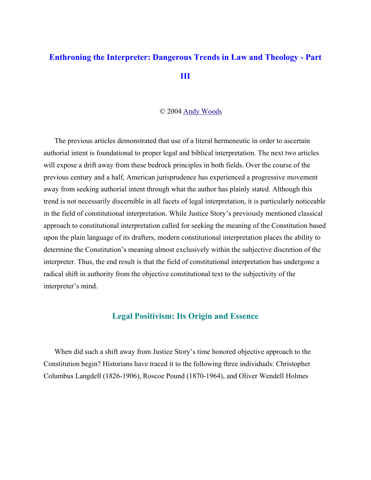# **Enthroning the Interpreter: Dangerous Trends in Law and Theology - Part III**

#### © 2004 Andy Woods

The previous articles demonstrated that use of a literal hermeneutic in order to ascertain authorial intent is foundational to proper legal and biblical interpretation. The next two articles will expose a drift away from these bedrock principles in both fields. Over the course of the previous century and a half, American jurisprudence has experienced a progressive movement away from seeking authorial intent through what the author has plainly stated. Although this trend is not necessarily discernible in all facets of legal interpretation, it is particularly noticeable in the field of constitutional interpretation. While Justice Story's previously mentioned classical approach to constitutional interpretation called for seeking the meaning of the Constitution based upon the plain language of its drafters, modern constitutional interpretation places the ability to determine the Constitution's meaning almost exclusively within the subjective discretion of the interpreter. Thus, the end result is that the field of constitutional interpretation has undergone a radical shift in authority from the objective constitutional text to the subjectivity of the interpreter's mind.

# **Legal Positivism: Its Origin and Essence**

When did such a shift away from Justice Story's time honored objective approach to the Constitution begin? Historians have traced it to the following three individuals: Christopher Columbus Langdell (1826-1906), Roscoe Pound (1870-1964), and Oliver Wendell Holmes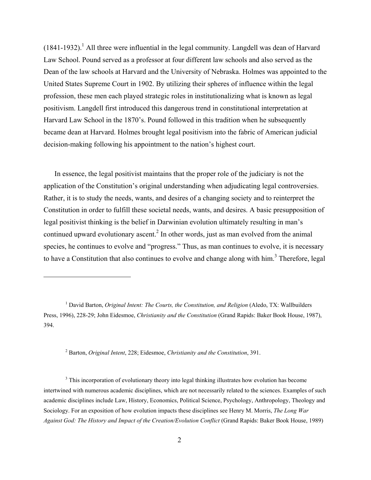$(1841-1932)$ .<sup>1</sup> All three were influential in the legal community. Langdell was dean of Harvard Law School. Pound served as a professor at four different law schools and also served as the Dean of the law schools at Harvard and the University of Nebraska. Holmes was appointed to the United States Supreme Court in 1902. By utilizing their spheres of influence within the legal profession, these men each played strategic roles in institutionalizing what is known as legal positivism. Langdell first introduced this dangerous trend in constitutional interpretation at Harvard Law School in the 1870's. Pound followed in this tradition when he subsequently became dean at Harvard. Holmes brought legal positivism into the fabric of American judicial decision-making following his appointment to the nation's highest court.

In essence, the legal positivist maintains that the proper role of the judiciary is not the application of the Constitution's original understanding when adjudicating legal controversies. Rather, it is to study the needs, wants, and desires of a changing society and to reinterpret the Constitution in order to fulfill these societal needs, wants, and desires. A basic presupposition of legal positivist thinking is the belief in Darwinian evolution ultimately resulting in man's continued upward evolutionary ascent.<sup>2</sup> In other words, just as man evolved from the animal species, he continues to evolve and "progress." Thus, as man continues to evolve, it is necessary to have a Constitution that also continues to evolve and change along with  $\lim_{n \to \infty} 3$  Therefore, legal

2 Barton, *Original Intent*, 228; Eidesmoe, *Christianity and the Constitution*, 391.

 $\overline{a}$ 

 $3$  This incorporation of evolutionary theory into legal thinking illustrates how evolution has become intertwined with numerous academic disciplines, which are not necessarily related to the sciences. Examples of such academic disciplines include Law, History, Economics, Political Science, Psychology, Anthropology, Theology and Sociology. For an exposition of how evolution impacts these disciplines see Henry M. Morris, *The Long War Against God: The History and Impact of the Creation/Evolution Conflict* (Grand Rapids: Baker Book House, 1989)

<sup>&</sup>lt;sup>1</sup> David Barton, *Original Intent: The Courts, the Constitution, and Religion* (Aledo, TX: Wallbuilders Press, 1996), 228-29; John Eidesmoe, *Christianity and the Constitution* (Grand Rapids: Baker Book House, 1987), 394.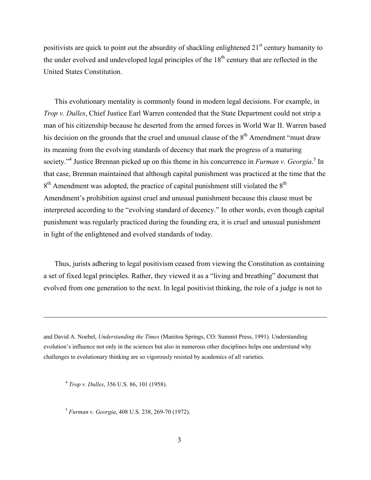positivists are quick to point out the absurdity of shackling enlightened  $21<sup>st</sup>$  century humanity to the under evolved and undeveloped legal principles of the  $18<sup>th</sup>$  century that are reflected in the United States Constitution.

This evolutionary mentality is commonly found in modern legal decisions. For example, in *Trop v. Dulles*, Chief Justice Earl Warren contended that the State Department could not strip a man of his citizenship because he deserted from the armed forces in World War II. Warren based his decision on the grounds that the cruel and unusual clause of the  $8<sup>th</sup>$  Amendment "must draw its meaning from the evolving standards of decency that mark the progress of a maturing society."<sup>4</sup> Justice Brennan picked up on this theme in his concurrence in *Furman v. Georgia*.<sup>5</sup> In that case, Brennan maintained that although capital punishment was practiced at the time that the  $8<sup>th</sup>$  Amendment was adopted, the practice of capital punishment still violated the  $8<sup>th</sup>$ Amendment's prohibition against cruel and unusual punishment because this clause must be interpreted according to the "evolving standard of decency." In other words, even though capital punishment was regularly practiced during the founding era, it is cruel and unusual punishment in light of the enlightened and evolved standards of today.

Thus, jurists adhering to legal positivism ceased from viewing the Constitution as containing a set of fixed legal principles. Rather, they viewed it as a "living and breathing" document that evolved from one generation to the next. In legal positivist thinking, the role of a judge is not to

and David A. Noebel, *Understanding the Times* (Manitou Springs, CO: Summit Press, 1991). Understanding evolution's influence not only in the sciences but also in numerous other disciplines helps one understand why challenges to evolutionary thinking are so vigorously resisted by academics of all varieties.

<sup>4</sup> *Trop v. Dulles*, 356 U.S. 86, 101 (1958).

1

<sup>5</sup> *Furman v. Georgia*, 408 U.S. 238, 269-70 (1972).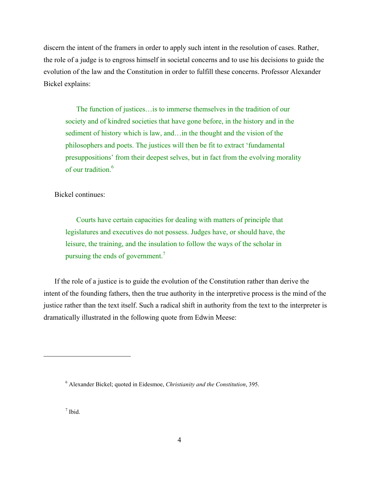discern the intent of the framers in order to apply such intent in the resolution of cases. Rather, the role of a judge is to engross himself in societal concerns and to use his decisions to guide the evolution of the law and the Constitution in order to fulfill these concerns. Professor Alexander Bickel explains:

The function of justices…is to immerse themselves in the tradition of our society and of kindred societies that have gone before, in the history and in the sediment of history which is law, and…in the thought and the vision of the philosophers and poets. The justices will then be fit to extract 'fundamental presuppositions' from their deepest selves, but in fact from the evolving morality of our tradition.<sup>6</sup>

Bickel continues:

Courts have certain capacities for dealing with matters of principle that legislatures and executives do not possess. Judges have, or should have, the leisure, the training, and the insulation to follow the ways of the scholar in pursuing the ends of government.<sup>7</sup>

If the role of a justice is to guide the evolution of the Constitution rather than derive the intent of the founding fathers, then the true authority in the interpretive process is the mind of the justice rather than the text itself. Such a radical shift in authority from the text to the interpreter is dramatically illustrated in the following quote from Edwin Meese:

7 Ibid.

<sup>6</sup> Alexander Bickel; quoted in Eidesmoe, *Christianity and the Constitution*, 395.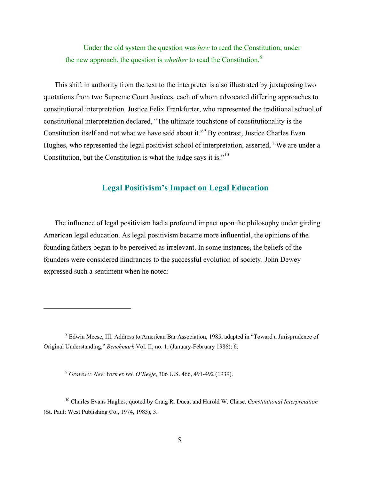Under the old system the question was *how* to read the Constitution; under the new approach, the question is *whether* to read the Constitution.8

This shift in authority from the text to the interpreter is also illustrated by juxtaposing two quotations from two Supreme Court Justices, each of whom advocated differing approaches to constitutional interpretation. Justice Felix Frankfurter, who represented the traditional school of constitutional interpretation declared, "The ultimate touchstone of constitutionality is the Constitution itself and not what we have said about it."<sup>9</sup> By contrast, Justice Charles Evan Hughes, who represented the legal positivist school of interpretation, asserted, "We are under a Constitution, but the Constitution is what the judge says it is."<sup>10</sup>

# **Legal Positivism's Impact on Legal Education**

The influence of legal positivism had a profound impact upon the philosophy under girding American legal education. As legal positivism became more influential, the opinions of the founding fathers began to be perceived as irrelevant. In some instances, the beliefs of the founders were considered hindrances to the successful evolution of society. John Dewey expressed such a sentiment when he noted:

<sup>&</sup>lt;sup>8</sup> Edwin Meese, III, Address to American Bar Association, 1985; adapted in "Toward a Jurisprudence of Original Understanding," *Benchmark* Vol. II, no. 1, (January-February 1986): 6.

<sup>9</sup> *Graves v. New York ex rel. O'Keefe*, 306 U.S. 466, 491-492 (1939).

<sup>10</sup> Charles Evans Hughes; quoted by Craig R. Ducat and Harold W. Chase, *Constitutional Interpretation* (St. Paul: West Publishing Co., 1974, 1983), 3.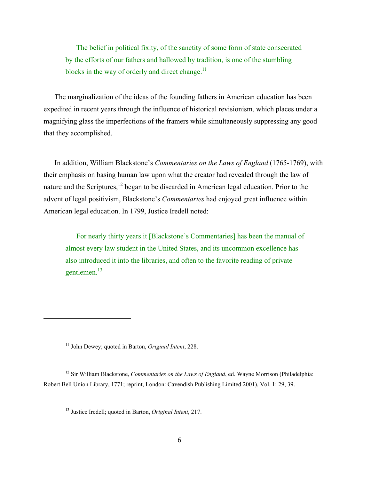The belief in political fixity, of the sanctity of some form of state consecrated by the efforts of our fathers and hallowed by tradition, is one of the stumbling blocks in the way of orderly and direct change.<sup>11</sup>

The marginalization of the ideas of the founding fathers in American education has been expedited in recent years through the influence of historical revisionism, which places under a magnifying glass the imperfections of the framers while simultaneously suppressing any good that they accomplished.

In addition, William Blackstone's *Commentaries on the Laws of England* (1765-1769), with their emphasis on basing human law upon what the creator had revealed through the law of nature and the Scriptures,<sup>12</sup> began to be discarded in American legal education. Prior to the advent of legal positivism, Blackstone's *Commentaries* had enjoyed great influence within American legal education. In 1799, Justice Iredell noted:

For nearly thirty years it [Blackstone's Commentaries] has been the manual of almost every law student in the United States, and its uncommon excellence has also introduced it into the libraries, and often to the favorite reading of private gentlemen.<sup>13</sup>

 $\overline{a}$ 

<sup>12</sup> Sir William Blackstone, *Commentaries on the Laws of England*, ed. Wayne Morrison (Philadelphia: Robert Bell Union Library, 1771; reprint, London: Cavendish Publishing Limited 2001), Vol. 1: 29, 39.

<sup>11</sup> John Dewey; quoted in Barton, *Original Intent*, 228.

<sup>13</sup> Justice Iredell; quoted in Barton, *Original Intent*, 217.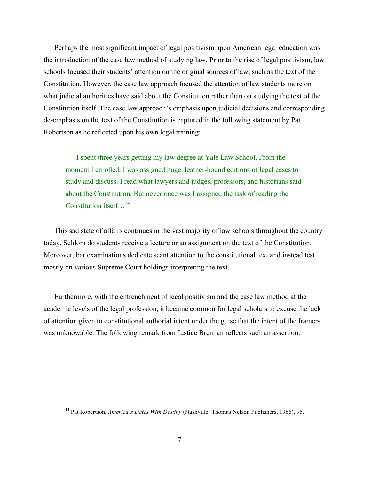Perhaps the most significant impact of legal positivism upon American legal education was the introduction of the case law method of studying law. Prior to the rise of legal positivism, law schools focused their students' attention on the original sources of law, such as the text of the Constitution. However, the case law approach focused the attention of law students more on what judicial authorities have said about the Constitution rather than on studying the text of the Constitution itself. The case law approach's emphasis upon judicial decisions and corresponding de-emphasis on the text of the Constitution is captured in the following statement by Pat Robertson as he reflected upon his own legal training:

I spent three years getting my law degree at Yale Law School. From the moment I enrolled, I was assigned huge, leather-bound editions of legal cases to study and discuss. I read what lawyers and judges, professors, and historians said about the Constitution. But never once was I assigned the task of reading the Constitution itself...<sup>14</sup>

This sad state of affairs continues in the vast majority of law schools throughout the country today. Seldom do students receive a lecture or an assignment on the text of the Constitution. Moreover, bar examinations dedicate scant attention to the constitutional text and instead test mostly on various Supreme Court holdings interpreting the text.

Furthermore, with the entrenchment of legal positivism and the case law method at the academic levels of the legal profession, it became common for legal scholars to excuse the lack of attention given to constitutional authorial intent under the guise that the intent of the framers was unknowable. The following remark from Justice Brennan reflects such an assertion:

<sup>14</sup> Pat Robertson, *America's Dates With Destiny* (Nashville: Thomas Nelson Publishers, 1986), 95.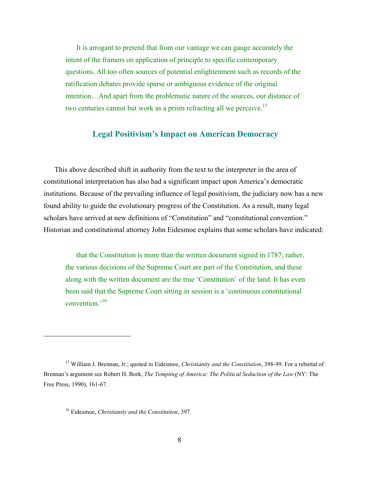It is arrogant to pretend that from our vantage we can gauge accurately the intent of the framers on application of principle to specific contemporary questions. All too often sources of potential enlightenment such as records of the ratification debates provide sparse or ambiguous evidence of the original intention…And apart from the problematic nature of the sources, our distance of two centuries cannot but work as a prism refracting all we perceive.<sup>15</sup>

# **Legal Positivism's Impact on American Democracy**

This above described shift in authority from the text to the interpreter in the area of constitutional interpretation has also had a significant impact upon America's democratic institutions. Because of the prevailing influence of legal positivism, the judiciary now has a new found ability to guide the evolutionary progress of the Constitution. As a result, many legal scholars have arrived at new definitions of "Constitution" and "constitutional convention." Historian and constitutional attorney John Eidesmoe explains that some scholars have indicated:

that the Constitution is more than the written document signed in 1787; rather, the various decisions of the Supreme Court are part of the Constitution, and these along with the written document are the true 'Constitution' of the land. It has even been said that the Supreme Court sitting in session is a 'continuous constitutional convention.'16

1

<sup>15</sup> William J. Brennan, Jr.; quoted in Eidesmoe, *Christianity and the Constitution*, 398-99. For a rebuttal of Brennan's argument see Robert H. Bork, *The Tempting of America: The Political Seduction of the Law* (NY: The Free Press, 1990), 161-67.

<sup>16</sup> Eidesmoe, *Christianity and the Constitution*, 397.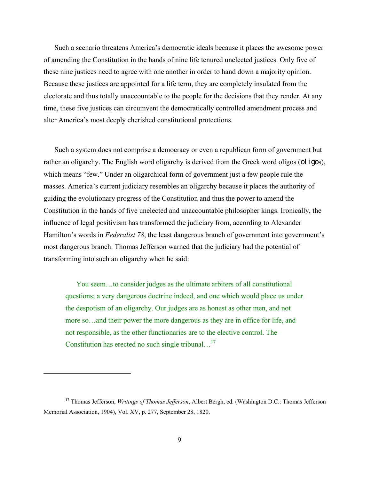Such a scenario threatens America's democratic ideals because it places the awesome power of amending the Constitution in the hands of nine life tenured unelected justices. Only five of these nine justices need to agree with one another in order to hand down a majority opinion. Because these justices are appointed for a life term, they are completely insulated from the electorate and thus totally unaccountable to the people for the decisions that they render. At any time, these five justices can circumvent the democratically controlled amendment process and alter America's most deeply cherished constitutional protections.

Such a system does not comprise a democracy or even a republican form of government but rather an oligarchy. The English word oligarchy is derived from the Greek word oligos (oligos), which means "few." Under an oligarchical form of government just a few people rule the masses. America's current judiciary resembles an oligarchy because it places the authority of guiding the evolutionary progress of the Constitution and thus the power to amend the Constitution in the hands of five unelected and unaccountable philosopher kings. Ironically, the influence of legal positivism has transformed the judiciary from, according to Alexander Hamilton's words in *Federalist 78*, the least dangerous branch of government into government's most dangerous branch. Thomas Jefferson warned that the judiciary had the potential of transforming into such an oligarchy when he said:

You seem…to consider judges as the ultimate arbiters of all constitutional questions; a very dangerous doctrine indeed, and one which would place us under the despotism of an oligarchy. Our judges are as honest as other men, and not more so…and their power the more dangerous as they are in office for life, and not responsible, as the other functionaries are to the elective control. The Constitution has erected no such single tribunal...<sup>17</sup>

<sup>17</sup> Thomas Jefferson, *Writings of Thomas Jefferson*, Albert Bergh, ed. (Washington D.C.: Thomas Jefferson Memorial Association, 1904), Vol. XV, p. 277, September 28, 1820.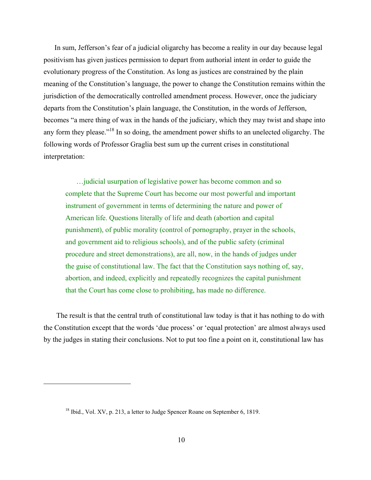In sum, Jefferson's fear of a judicial oligarchy has become a reality in our day because legal positivism has given justices permission to depart from authorial intent in order to guide the evolutionary progress of the Constitution. As long as justices are constrained by the plain meaning of the Constitution's language, the power to change the Constitution remains within the jurisdiction of the democratically controlled amendment process. However, once the judiciary departs from the Constitution's plain language, the Constitution, in the words of Jefferson, becomes "a mere thing of wax in the hands of the judiciary, which they may twist and shape into any form they please."<sup>18</sup> In so doing, the amendment power shifts to an unelected oligarchy. The following words of Professor Graglia best sum up the current crises in constitutional interpretation:

…judicial usurpation of legislative power has become common and so complete that the Supreme Court has become our most powerful and important instrument of government in terms of determining the nature and power of American life. Questions literally of life and death (abortion and capital punishment), of public morality (control of pornography, prayer in the schools, and government aid to religious schools), and of the public safety (criminal procedure and street demonstrations), are all, now, in the hands of judges under the guise of constitutional law. The fact that the Constitution says nothing of, say, abortion, and indeed, explicitly and repeatedly recognizes the capital punishment that the Court has come close to prohibiting, has made no difference.

 The result is that the central truth of constitutional law today is that it has nothing to do with the Constitution except that the words 'due process' or 'equal protection' are almost always used by the judges in stating their conclusions. Not to put too fine a point on it, constitutional law has

<sup>&</sup>lt;sup>18</sup> Ibid., Vol. XV, p. 213, a letter to Judge Spencer Roane on September 6, 1819.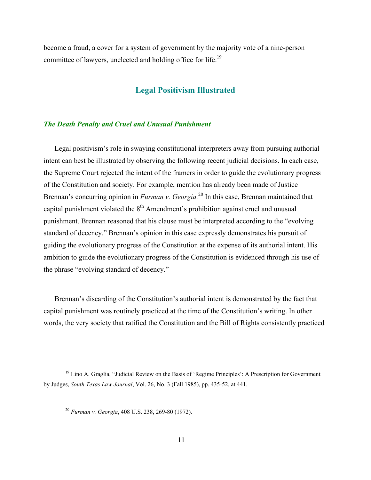become a fraud, a cover for a system of government by the majority vote of a nine-person committee of lawyers, unelected and holding office for life.19

#### **Legal Positivism Illustrated**

#### *The Death Penalty and Cruel and Unusual Punishment*

Legal positivism's role in swaying constitutional interpreters away from pursuing authorial intent can best be illustrated by observing the following recent judicial decisions. In each case, the Supreme Court rejected the intent of the framers in order to guide the evolutionary progress of the Constitution and society. For example, mention has already been made of Justice Brennan's concurring opinion in *Furman v. Georgia.*20 In this case, Brennan maintained that capital punishment violated the  $8<sup>th</sup>$  Amendment's prohibition against cruel and unusual punishment. Brennan reasoned that his clause must be interpreted according to the "evolving standard of decency." Brennan's opinion in this case expressly demonstrates his pursuit of guiding the evolutionary progress of the Constitution at the expense of its authorial intent. His ambition to guide the evolutionary progress of the Constitution is evidenced through his use of the phrase "evolving standard of decency."

Brennan's discarding of the Constitution's authorial intent is demonstrated by the fact that capital punishment was routinely practiced at the time of the Constitution's writing. In other words, the very society that ratified the Constitution and the Bill of Rights consistently practiced

<sup>&</sup>lt;sup>19</sup> Lino A. Graglia, "Judicial Review on the Basis of 'Regime Principles': A Prescription for Government by Judges, *South Texas Law Journal*, Vol. 26, No. 3 (Fall 1985), pp. 435-52, at 441.

<sup>20</sup> *Furman v. Georgia*, 408 U.S. 238, 269-80 (1972).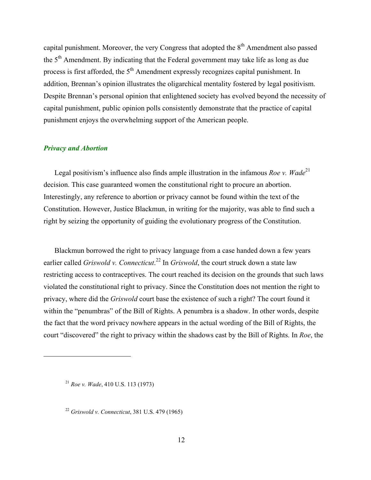capital punishment. Moreover, the very Congress that adopted the  $8<sup>th</sup>$  Amendment also passed the 5th Amendment. By indicating that the Federal government may take life as long as due process is first afforded, the  $5<sup>th</sup>$  Amendment expressly recognizes capital punishment. In addition, Brennan's opinion illustrates the oligarchical mentality fostered by legal positivism. Despite Brennan's personal opinion that enlightened society has evolved beyond the necessity of capital punishment, public opinion polls consistently demonstrate that the practice of capital punishment enjoys the overwhelming support of the American people.

#### *Privacy and Abortion*

Legal positivism's influence also finds ample illustration in the infamous *Roe v. Wade*<sup>21</sup> decision. This case guaranteed women the constitutional right to procure an abortion. Interestingly, any reference to abortion or privacy cannot be found within the text of the Constitution. However, Justice Blackmun, in writing for the majority, was able to find such a right by seizing the opportunity of guiding the evolutionary progress of the Constitution.

Blackmun borrowed the right to privacy language from a case handed down a few years earlier called *Griswold v. Connecticut*.<sup>22</sup> In *Griswold*, the court struck down a state law restricting access to contraceptives. The court reached its decision on the grounds that such laws violated the constitutional right to privacy. Since the Constitution does not mention the right to privacy, where did the *Griswold* court base the existence of such a right? The court found it within the "penumbras" of the Bill of Rights. A penumbra is a shadow. In other words, despite the fact that the word privacy nowhere appears in the actual wording of the Bill of Rights, the court "discovered" the right to privacy within the shadows cast by the Bill of Rights. In *Roe*, the

1

<sup>21</sup> *Roe v. Wade*, 410 U.S. 113 (1973)

<sup>22</sup> *Griswold v. Connecticut*, 381 U.S. 479 (1965)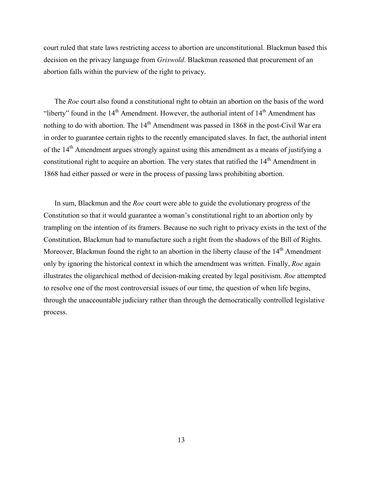court ruled that state laws restricting access to abortion are unconstitutional. Blackmun based this decision on the privacy language from *Griswold*. Blackmun reasoned that procurement of an abortion falls within the purview of the right to privacy.

The *Roe* court also found a constitutional right to obtain an abortion on the basis of the word "liberty" found in the  $14<sup>th</sup>$  Amendment. However, the authorial intent of  $14<sup>th</sup>$  Amendment has nothing to do with abortion. The  $14<sup>th</sup>$  Amendment was passed in 1868 in the post-Civil War era in order to guarantee certain rights to the recently emancipated slaves. In fact, the authorial intent of the 14<sup>th</sup> Amendment argues strongly against using this amendment as a means of justifying a constitutional right to acquire an abortion. The very states that ratified the 14<sup>th</sup> Amendment in 1868 had either passed or were in the process of passing laws prohibiting abortion.

In sum, Blackmun and the *Roe* court were able to guide the evolutionary progress of the Constitution so that it would guarantee a woman's constitutional right to an abortion only by trampling on the intention of its framers. Because no such right to privacy exists in the text of the Constitution, Blackmun had to manufacture such a right from the shadows of the Bill of Rights. Moreover, Blackmun found the right to an abortion in the liberty clause of the 14<sup>th</sup> Amendment only by ignoring the historical context in which the amendment was written. Finally, *Roe* again illustrates the oligarchical method of decision-making created by legal positivism. *Roe* attempted to resolve one of the most controversial issues of our time, the question of when life begins, through the unaccountable judiciary rather than through the democratically controlled legislative process.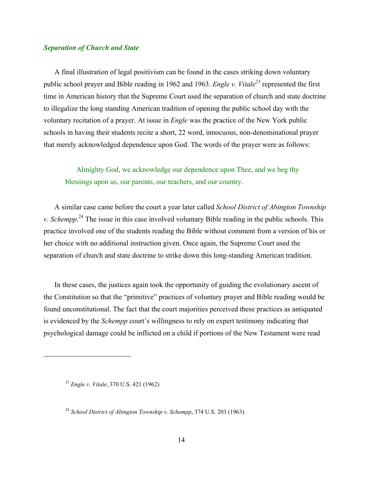#### *Separation of Church and State*

A final illustration of legal positivism can be found in the cases striking down voluntary public school prayer and Bible reading in 1962 and 1963. *Engle v. Vitale*<sup>23</sup> represented the first time in American history that the Supreme Court used the separation of church and state doctrine to illegalize the long standing American tradition of opening the public school day with the voluntary recitation of a prayer. At issue in *Engle* was the practice of the New York public schools in having their students recite a short, 22 word, innocuous, non-denominational prayer that merely acknowledged dependence upon God. The words of the prayer were as follows:

Almighty God, we acknowledge our dependence upon Thee, and we beg thy blessings upon us, our parents, our teachers, and our country.

A similar case came before the court a year later called *School District of Abington Township v. Schempp*. 24 The issue in this case involved voluntary Bible reading in the public schools. This practice involved one of the students reading the Bible without comment from a version of his or her choice with no additional instruction given. Once again, the Supreme Court used the separation of church and state doctrine to strike down this long-standing American tradition.

In these cases, the justices again took the opportunity of guiding the evolutionary ascent of the Constitution so that the "primitive" practices of voluntary prayer and Bible reading would be found unconstitutional. The fact that the court majorities perceived these practices as antiquated is evidenced by the *Schempp* court's willingness to rely on expert testimony indicating that psychological damage could be inflicted on a child if portions of the New Testament were read

<sup>23</sup> *Engle v. Vitale*, 370 U.S. 421 (1962)

<sup>24</sup> *School District of Abington Township v. Schempp*, 374 U.S. 203 (1963).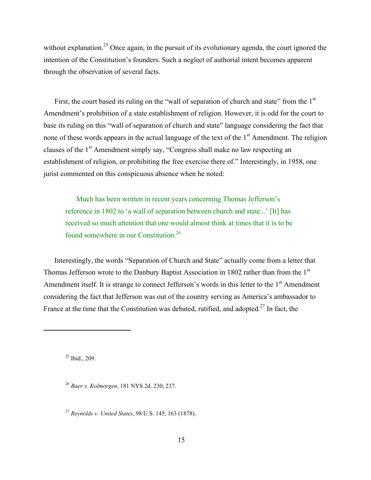without explanation.<sup>25</sup> Once again, in the pursuit of its evolutionary agenda, the court ignored the intention of the Constitution's founders. Such a neglect of authorial intent becomes apparent through the observation of several facts.

First, the court based its ruling on the "wall of separation of church and state" from the 1<sup>st</sup> Amendment's prohibition of a state establishment of religion. However, it is odd for the court to base its ruling on this "wall of separation of church and state" language considering the fact that none of these words appears in the actual language of the text of the  $1<sup>st</sup>$  Amendment. The religion clauses of the 1<sup>st</sup> Amendment simply say, "Congress shall make no law respecting an establishment of religion, or prohibiting the free exercise there of." Interestingly, in 1958, one jurist commented on this conspicuous absence when he noted:

Much has been written in recent years concerning Thomas Jefferson's reference in 1802 to 'a wall of separation between church and state...' [It] has received so much attention that one would almost think at times that it is to be found somewhere in our Constitution.26

Interestingly, the words "Separation of Church and State" actually come from a letter that Thomas Jefferson wrote to the Danbury Baptist Association in 1802 rather than from the 1<sup>st</sup> Amendment itself. It is strange to connect Jefferson's words in this letter to the  $1<sup>st</sup>$  Amendment considering the fact that Jefferson was out of the country serving as America's ambassador to France at the time that the Constitution was debated, ratified, and adopted.<sup>27</sup> In fact, the

 $25$  Ibid., 209.

 $\overline{a}$ 

<sup>26</sup> *Baer v. Kolmorgen*, 181 NYS 2d. 230, 237.

<sup>27</sup> *Reynolds v. United States*, 98 U.S. 145, 163 (1878).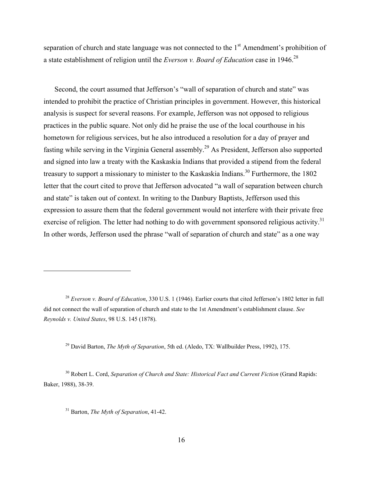separation of church and state language was not connected to the  $1<sup>st</sup>$  Amendment's prohibition of a state establishment of religion until the *Everson v. Board of Education* case in 1946.28

Second, the court assumed that Jefferson's "wall of separation of church and state" was intended to prohibit the practice of Christian principles in government. However, this historical analysis is suspect for several reasons. For example, Jefferson was not opposed to religious practices in the public square. Not only did he praise the use of the local courthouse in his hometown for religious services, but he also introduced a resolution for a day of prayer and fasting while serving in the Virginia General assembly.29 As President, Jefferson also supported and signed into law a treaty with the Kaskaskia Indians that provided a stipend from the federal treasury to support a missionary to minister to the Kaskaskia Indians.<sup>30</sup> Furthermore, the 1802 letter that the court cited to prove that Jefferson advocated "a wall of separation between church and state" is taken out of context. In writing to the Danbury Baptists, Jefferson used this expression to assure them that the federal government would not interfere with their private free exercise of religion. The letter had nothing to do with government sponsored religious activity.<sup>31</sup> In other words, Jefferson used the phrase "wall of separation of church and state" as a one way

29 David Barton, *The Myth of Separation*, 5th ed. (Aledo, TX: Wallbuilder Press, 1992), 175.

30 Robert L. Cord, *Separation of Church and State: Historical Fact and Current Fiction* (Grand Rapids: Baker, 1988), 38-39.

1

<sup>28</sup> *Everson v. Board of Education*, 330 U.S. 1 (1946). Earlier courts that cited Jefferson's 1802 letter in full did not connect the wall of separation of church and state to the 1st Amendment's establishment clause. *See Reynolds v. United States*, 98 U.S. 145 (1878).

<sup>31</sup> Barton, *The Myth of Separation*, 41-42.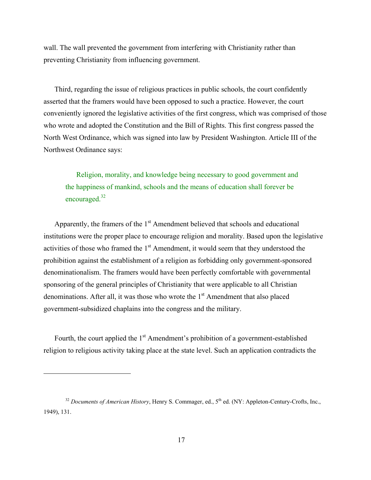wall. The wall prevented the government from interfering with Christianity rather than preventing Christianity from influencing government.

Third, regarding the issue of religious practices in public schools, the court confidently asserted that the framers would have been opposed to such a practice. However, the court conveniently ignored the legislative activities of the first congress, which was comprised of those who wrote and adopted the Constitution and the Bill of Rights. This first congress passed the North West Ordinance, which was signed into law by President Washington. Article III of the Northwest Ordinance says:

Religion, morality, and knowledge being necessary to good government and the happiness of mankind, schools and the means of education shall forever be encouraged.<sup>32</sup>

Apparently, the framers of the  $1<sup>st</sup>$  Amendment believed that schools and educational institutions were the proper place to encourage religion and morality. Based upon the legislative activities of those who framed the  $1<sup>st</sup>$  Amendment, it would seem that they understood the prohibition against the establishment of a religion as forbidding only government-sponsored denominationalism. The framers would have been perfectly comfortable with governmental sponsoring of the general principles of Christianity that were applicable to all Christian denominations. After all, it was those who wrote the  $1<sup>st</sup>$  Amendment that also placed government-subsidized chaplains into the congress and the military.

Fourth, the court applied the  $1<sup>st</sup>$  Amendment's prohibition of a government-established religion to religious activity taking place at the state level. Such an application contradicts the

<sup>&</sup>lt;sup>32</sup> *Documents of American History*, Henry S. Commager, ed., 5<sup>th</sup> ed. (NY: Appleton-Century-Crofts, Inc., 1949), 131.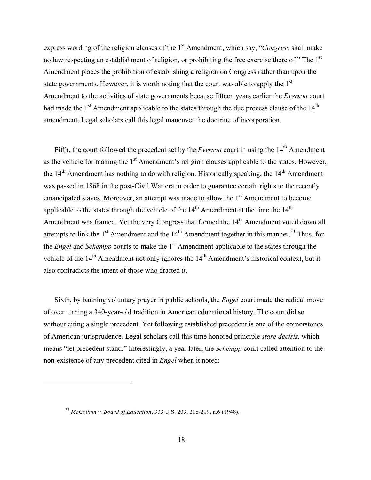express wording of the religion clauses of the 1<sup>st</sup> Amendment, which say, "*Congress* shall make no law respecting an establishment of religion, or prohibiting the free exercise there of." The 1<sup>st</sup> Amendment places the prohibition of establishing a religion on Congress rather than upon the state governments. However, it is worth noting that the court was able to apply the  $1<sup>st</sup>$ Amendment to the activities of state governments because fifteen years earlier the *Everson* court had made the  $1<sup>st</sup>$  Amendment applicable to the states through the due process clause of the  $14<sup>th</sup>$ amendment. Legal scholars call this legal maneuver the doctrine of incorporation.

Fifth, the court followed the precedent set by the *Everson* court in using the 14<sup>th</sup> Amendment as the vehicle for making the 1<sup>st</sup> Amendment's religion clauses applicable to the states. However, the  $14<sup>th</sup>$  Amendment has nothing to do with religion. Historically speaking, the  $14<sup>th</sup>$  Amendment was passed in 1868 in the post-Civil War era in order to guarantee certain rights to the recently emancipated slaves. Moreover, an attempt was made to allow the 1<sup>st</sup> Amendment to become applicable to the states through the vehicle of the  $14<sup>th</sup>$  Amendment at the time the  $14<sup>th</sup>$ Amendment was framed. Yet the very Congress that formed the 14<sup>th</sup> Amendment voted down all attempts to link the  $1<sup>st</sup>$  Amendment and the  $14<sup>th</sup>$  Amendment together in this manner.<sup>33</sup> Thus, for the *Engel* and *Schempp* courts to make the 1<sup>st</sup> Amendment applicable to the states through the vehicle of the 14<sup>th</sup> Amendment not only ignores the 14<sup>th</sup> Amendment's historical context, but it also contradicts the intent of those who drafted it.

Sixth, by banning voluntary prayer in public schools, the *Engel* court made the radical move of over turning a 340-year-old tradition in American educational history. The court did so without citing a single precedent. Yet following established precedent is one of the cornerstones of American jurisprudence. Legal scholars call this time honored principle *stare decisis*, which means "let precedent stand." Interestingly, a year later, the *Schempp* court called attention to the non-existence of any precedent cited in *Engel* when it noted:

<sup>33</sup> *McCollum v. Board of Education*, 333 U.S. 203, 218-219, n.6 (1948).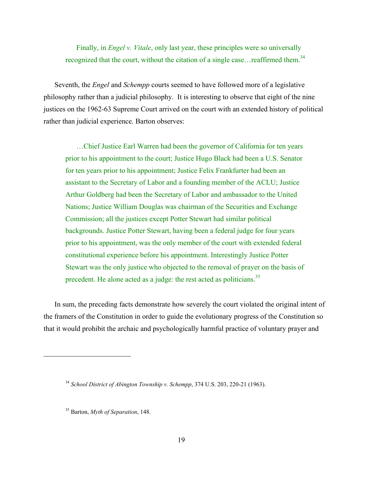Finally, in *Engel v. Vitale*, only last year, these principles were so universally recognized that the court, without the citation of a single case...reaffirmed them.<sup>34</sup>

Seventh, the *Engel* and *Schempp* courts seemed to have followed more of a legislative philosophy rather than a judicial philosophy. It is interesting to observe that eight of the nine justices on the 1962-63 Supreme Court arrived on the court with an extended history of political rather than judicial experience. Barton observes:

…Chief Justice Earl Warren had been the governor of California for ten years prior to his appointment to the court; Justice Hugo Black had been a U.S. Senator for ten years prior to his appointment; Justice Felix Frankfurter had been an assistant to the Secretary of Labor and a founding member of the ACLU; Justice Arthur Goldberg had been the Secretary of Labor and ambassador to the United Nations; Justice William Douglas was chairman of the Securities and Exchange Commission; all the justices except Potter Stewart had similar political backgrounds. Justice Potter Stewart, having been a federal judge for four years prior to his appointment, was the only member of the court with extended federal constitutional experience before his appointment. Interestingly Justice Potter Stewart was the only justice who objected to the removal of prayer on the basis of precedent. He alone acted as a judge: the rest acted as politicians.<sup>35</sup>

In sum, the preceding facts demonstrate how severely the court violated the original intent of the framers of the Constitution in order to guide the evolutionary progress of the Constitution so that it would prohibit the archaic and psychologically harmful practice of voluntary prayer and

<sup>34</sup> *School District of Abington Township v. Schempp*, 374 U.S. 203, 220-21 (1963).

<sup>35</sup> Barton, *Myth of Separation*, 148.